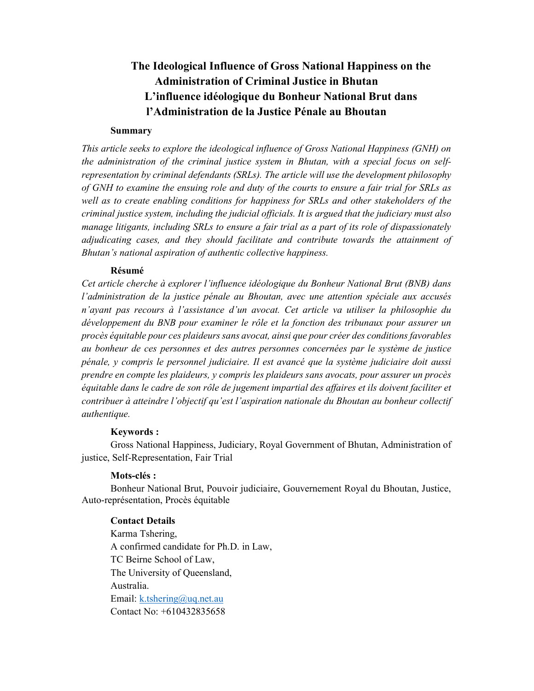# The Ideological Influence of Gross National Happiness on the Administration of Criminal Justice in Bhutan L'influence idéologique du Bonheur National Brut dans l'Administration de la Justice Pénale au Bhoutan

#### Summary

This article seeks to explore the ideological influence of Gross National Happiness (GNH) on the administration of the criminal justice system in Bhutan, with a special focus on selfrepresentation by criminal defendants (SRLs). The article will use the development philosophy of GNH to examine the ensuing role and duty of the courts to ensure a fair trial for SRLs as well as to create enabling conditions for happiness for SRLs and other stakeholders of the criminal justice system, including the judicial officials. It is argued that the judiciary must also manage litigants, including SRLs to ensure a fair trial as a part of its role of dispassionately adjudicating cases, and they should facilitate and contribute towards the attainment of Bhutan's national aspiration of authentic collective happiness.

#### Résumé

Cet article cherche à explorer l'influence idéologique du Bonheur National Brut (BNB) dans l'administration de la justice pénale au Bhoutan, avec une attention spéciale aux accusés n'ayant pas recours à l'assistance d'un avocat. Cet article va utiliser la philosophie du développement du BNB pour examiner le rôle et la fonction des tribunaux pour assurer un procès équitable pour ces plaideurs sans avocat, ainsi que pour créer des conditions favorables au bonheur de ces personnes et des autres personnes concernées par le système de justice pénale, y compris le personnel judiciaire. Il est avancé que la système judiciaire doit aussi prendre en compte les plaideurs, y compris les plaideurs sans avocats, pour assurer un procès équitable dans le cadre de son rôle de jugement impartial des affaires et ils doivent faciliter et contribuer à atteindre l'objectif qu'est l'aspiration nationale du Bhoutan au bonheur collectif authentique.

#### Keywords :

Gross National Happiness, Judiciary, Royal Government of Bhutan, Administration of justice, Self-Representation, Fair Trial

#### Mots-clés :

Bonheur National Brut, Pouvoir judiciaire, Gouvernement Royal du Bhoutan, Justice, Auto-représentation, Procès équitable

#### Contact Details

Karma Tshering, A confirmed candidate for Ph.D. in Law, TC Beirne School of Law, The University of Queensland, Australia. Email: k.tshering@uq.net.au Contact No: +610432835658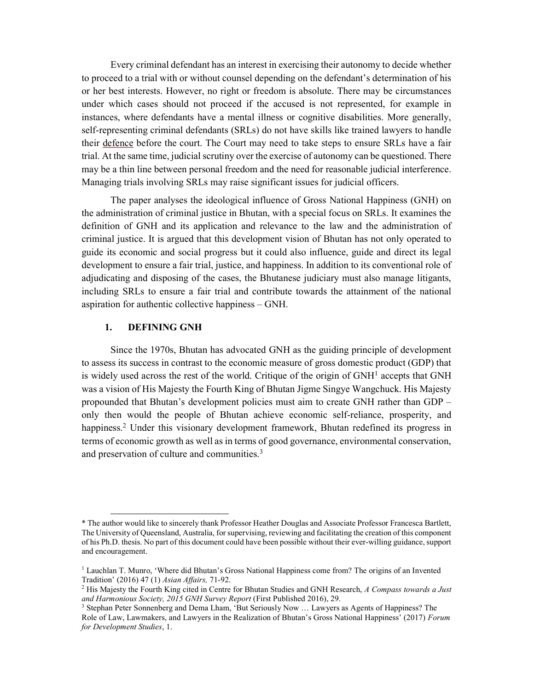Every criminal defendant has an interest in exercising their autonomy to decide whether to proceed to a trial with or without counsel depending on the defendant's determination of his or her best interests. However, no right or freedom is absolute. There may be circumstances under which cases should not proceed if the accused is not represented, for example in instances, where defendants have a mental illness or cognitive disabilities. More generally, self-representing criminal defendants (SRLs) do not have skills like trained lawyers to handle their defence before the court. The Court may need to take steps to ensure SRLs have a fair trial. At the same time, judicial scrutiny over the exercise of autonomy can be questioned. There may be a thin line between personal freedom and the need for reasonable judicial interference. Managing trials involving SRLs may raise significant issues for judicial officers.

The paper analyses the ideological influence of Gross National Happiness (GNH) on the administration of criminal justice in Bhutan, with a special focus on SRLs. It examines the definition of GNH and its application and relevance to the law and the administration of criminal justice. It is argued that this development vision of Bhutan has not only operated to guide its economic and social progress but it could also influence, guide and direct its legal development to ensure a fair trial, justice, and happiness. In addition to its conventional role of adjudicating and disposing of the cases, the Bhutanese judiciary must also manage litigants, including SRLs to ensure a fair trial and contribute towards the attainment of the national aspiration for authentic collective happiness – GNH.

#### 1. DEFINING GNH

-

Since the 1970s, Bhutan has advocated GNH as the guiding principle of development to assess its success in contrast to the economic measure of gross domestic product (GDP) that is widely used across the rest of the world. Critique of the origin of GNH<sup>1</sup> accepts that GNH was a vision of His Majesty the Fourth King of Bhutan Jigme Singye Wangchuck. His Majesty propounded that Bhutan's development policies must aim to create GNH rather than GDP – only then would the people of Bhutan achieve economic self-reliance, prosperity, and happiness.<sup>2</sup> Under this visionary development framework, Bhutan redefined its progress in terms of economic growth as well as in terms of good governance, environmental conservation, and preservation of culture and communities.<sup>3</sup>

<sup>\*</sup> The author would like to sincerely thank Professor Heather Douglas and Associate Professor Francesca Bartlett, The University of Queensland, Australia, for supervising, reviewing and facilitating the creation of this component of his Ph.D. thesis. No part of this document could have been possible without their ever-willing guidance, support and encouragement.

<sup>&</sup>lt;sup>1</sup> Lauchlan T. Munro, 'Where did Bhutan's Gross National Happiness come from? The origins of an Invented Tradition' (2016) 47 (1) Asian Affairs, 71-92.

<sup>&</sup>lt;sup>2</sup> His Majesty the Fourth King cited in Centre for Bhutan Studies and GNH Research, A Compass towards a Just and Harmonious Society, 2015 GNH Survey Report (First Published 2016), 29.

<sup>&</sup>lt;sup>3</sup> Stephan Peter Sonnenberg and Dema Lham, 'But Seriously Now ... Lawyers as Agents of Happiness? The Role of Law, Lawmakers, and Lawyers in the Realization of Bhutan's Gross National Happiness' (2017) Forum for Development Studies, 1.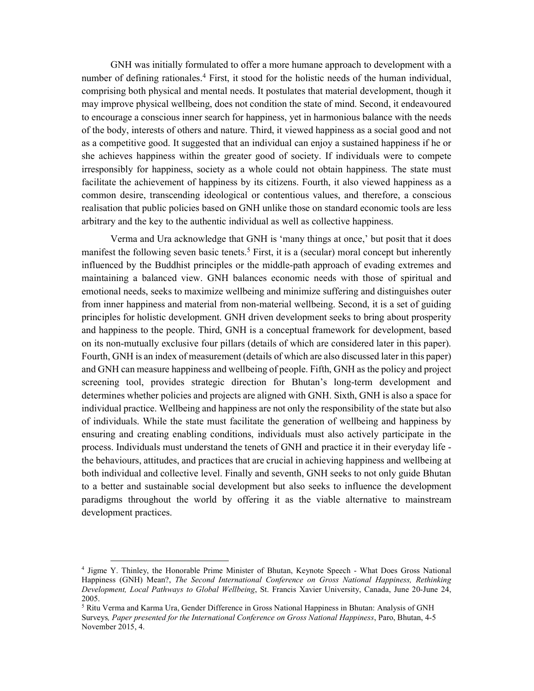GNH was initially formulated to offer a more humane approach to development with a number of defining rationales.<sup>4</sup> First, it stood for the holistic needs of the human individual, comprising both physical and mental needs. It postulates that material development, though it may improve physical wellbeing, does not condition the state of mind. Second, it endeavoured to encourage a conscious inner search for happiness, yet in harmonious balance with the needs of the body, interests of others and nature. Third, it viewed happiness as a social good and not as a competitive good. It suggested that an individual can enjoy a sustained happiness if he or she achieves happiness within the greater good of society. If individuals were to compete irresponsibly for happiness, society as a whole could not obtain happiness. The state must facilitate the achievement of happiness by its citizens. Fourth, it also viewed happiness as a common desire, transcending ideological or contentious values, and therefore, a conscious realisation that public policies based on GNH unlike those on standard economic tools are less arbitrary and the key to the authentic individual as well as collective happiness.

Verma and Ura acknowledge that GNH is 'many things at once,' but posit that it does manifest the following seven basic tenets.<sup>5</sup> First, it is a (secular) moral concept but inherently influenced by the Buddhist principles or the middle-path approach of evading extremes and maintaining a balanced view. GNH balances economic needs with those of spiritual and emotional needs, seeks to maximize wellbeing and minimize suffering and distinguishes outer from inner happiness and material from non-material wellbeing. Second, it is a set of guiding principles for holistic development. GNH driven development seeks to bring about prosperity and happiness to the people. Third, GNH is a conceptual framework for development, based on its non-mutually exclusive four pillars (details of which are considered later in this paper). Fourth, GNH is an index of measurement (details of which are also discussed later in this paper) and GNH can measure happiness and wellbeing of people. Fifth, GNH as the policy and project screening tool, provides strategic direction for Bhutan's long-term development and determines whether policies and projects are aligned with GNH. Sixth, GNH is also a space for individual practice. Wellbeing and happiness are not only the responsibility of the state but also of individuals. While the state must facilitate the generation of wellbeing and happiness by ensuring and creating enabling conditions, individuals must also actively participate in the process. Individuals must understand the tenets of GNH and practice it in their everyday life the behaviours, attitudes, and practices that are crucial in achieving happiness and wellbeing at both individual and collective level. Finally and seventh, GNH seeks to not only guide Bhutan to a better and sustainable social development but also seeks to influence the development paradigms throughout the world by offering it as the viable alternative to mainstream development practices.

<sup>4</sup> Jigme Y. Thinley, the Honorable Prime Minister of Bhutan, Keynote Speech - What Does Gross National Happiness (GNH) Mean?, The Second International Conference on Gross National Happiness, Rethinking Development, Local Pathways to Global Wellbeing, St. Francis Xavier University, Canada, June 20-June 24, 2005.

<sup>&</sup>lt;sup>5</sup> Ritu Verma and Karma Ura, Gender Difference in Gross National Happiness in Bhutan: Analysis of GNH Surveys, Paper presented for the International Conference on Gross National Happiness, Paro, Bhutan, 4-5 November 2015, 4.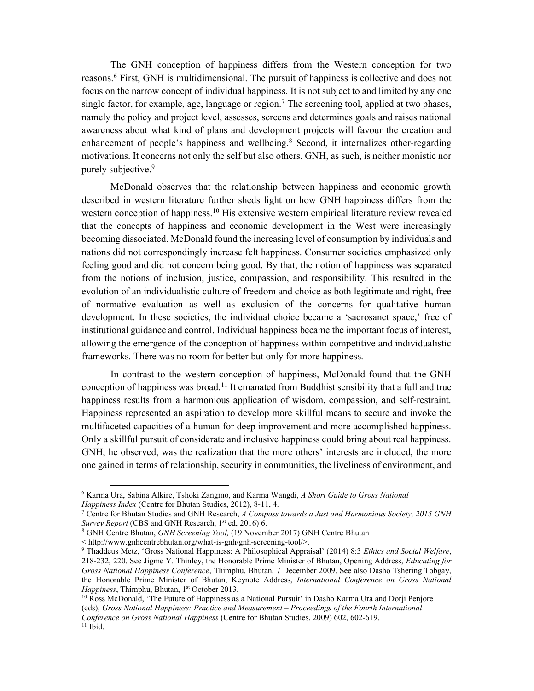The GNH conception of happiness differs from the Western conception for two reasons.<sup>6</sup> First, GNH is multidimensional. The pursuit of happiness is collective and does not focus on the narrow concept of individual happiness. It is not subject to and limited by any one single factor, for example, age, language or region.<sup>7</sup> The screening tool, applied at two phases, namely the policy and project level, assesses, screens and determines goals and raises national awareness about what kind of plans and development projects will favour the creation and enhancement of people's happiness and wellbeing.<sup>8</sup> Second, it internalizes other-regarding motivations. It concerns not only the self but also others. GNH, as such, is neither monistic nor purely subjective.<sup>9</sup>

McDonald observes that the relationship between happiness and economic growth described in western literature further sheds light on how GNH happiness differs from the western conception of happiness.<sup>10</sup> His extensive western empirical literature review revealed that the concepts of happiness and economic development in the West were increasingly becoming dissociated. McDonald found the increasing level of consumption by individuals and nations did not correspondingly increase felt happiness. Consumer societies emphasized only feeling good and did not concern being good. By that, the notion of happiness was separated from the notions of inclusion, justice, compassion, and responsibility. This resulted in the evolution of an individualistic culture of freedom and choice as both legitimate and right, free of normative evaluation as well as exclusion of the concerns for qualitative human development. In these societies, the individual choice became a 'sacrosanct space,' free of institutional guidance and control. Individual happiness became the important focus of interest, allowing the emergence of the conception of happiness within competitive and individualistic frameworks. There was no room for better but only for more happiness.

In contrast to the western conception of happiness, McDonald found that the GNH conception of happiness was broad.<sup>11</sup> It emanated from Buddhist sensibility that a full and true happiness results from a harmonious application of wisdom, compassion, and self-restraint. Happiness represented an aspiration to develop more skillful means to secure and invoke the multifaceted capacities of a human for deep improvement and more accomplished happiness. Only a skillful pursuit of considerate and inclusive happiness could bring about real happiness. GNH, he observed, was the realization that the more others' interests are included, the more one gained in terms of relationship, security in communities, the liveliness of environment, and

 $\overline{a}$ 

<sup>&</sup>lt;sup>6</sup> Karma Ura, Sabina Alkire, Tshoki Zangmo, and Karma Wangdi, A Short Guide to Gross National Happiness Index (Centre for Bhutan Studies, 2012), 8-11, 4.

<sup>&</sup>lt;sup>7</sup> Centre for Bhutan Studies and GNH Research, A Compass towards a Just and Harmonious Society, 2015 GNH Survey Report (CBS and GNH Research,  $1<sup>st</sup>$  ed, 2016) 6.

<sup>&</sup>lt;sup>8</sup> GNH Centre Bhutan, GNH Screening Tool, (19 November 2017) GNH Centre Bhutan

<sup>&</sup>lt; http://www.gnhcentrebhutan.org/what-is-gnh/gnh-screening-tool/>.

<sup>&</sup>lt;sup>9</sup> Thaddeus Metz, 'Gross National Happiness: A Philosophical Appraisal' (2014) 8:3 Ethics and Social Welfare, 218-232, 220. See Jigme Y. Thinley, the Honorable Prime Minister of Bhutan, Opening Address, Educating for Gross National Happiness Conference, Thimphu, Bhutan, 7 December 2009. See also Dasho Tshering Tobgay, the Honorable Prime Minister of Bhutan, Keynote Address, International Conference on Gross National Happiness, Thimphu, Bhutan, 1st October 2013.

<sup>&</sup>lt;sup>10</sup> Ross McDonald, 'The Future of Happiness as a National Pursuit' in Dasho Karma Ura and Dorji Penjore (eds), Gross National Happiness: Practice and Measurement – Proceedings of the Fourth International Conference on Gross National Happiness (Centre for Bhutan Studies, 2009) 602, 602-619.  $11$  Ibid.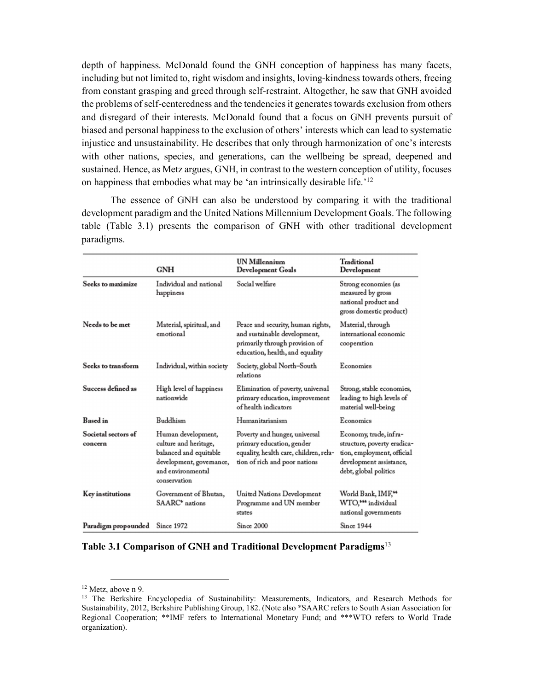depth of happiness. McDonald found the GNH conception of happiness has many facets, including but not limited to, right wisdom and insights, loving-kindness towards others, freeing from constant grasping and greed through self-restraint. Altogether, he saw that GNH avoided the problems of self-centeredness and the tendencies it generates towards exclusion from others and disregard of their interests. McDonald found that a focus on GNH prevents pursuit of biased and personal happiness to the exclusion of others' interests which can lead to systematic injustice and unsustainability. He describes that only through harmonization of one's interests with other nations, species, and generations, can the wellbeing be spread, deepened and sustained. Hence, as Metz argues, GNH, in contrast to the western conception of utility, focuses on happiness that embodies what may be 'an intrinsically desirable life.'12

 The essence of GNH can also be understood by comparing it with the traditional development paradigm and the United Nations Millennium Development Goals. The following table (Table 3.1) presents the comparison of GNH with other traditional development paradigms.

|                                | <b>GNH</b>                                                                                                                             | UN Millennium<br>Development Goals                                                                                                     | Traditional<br>Development                                                                                                              |
|--------------------------------|----------------------------------------------------------------------------------------------------------------------------------------|----------------------------------------------------------------------------------------------------------------------------------------|-----------------------------------------------------------------------------------------------------------------------------------------|
| Seeks to maximize              | Individual and national<br>happiness                                                                                                   | Social welfare                                                                                                                         | Strong economies (as<br>measured by gross<br>national product and<br>gross domestic product)                                            |
| Needs to be met                | Material, spiritual, and<br>emotional                                                                                                  | Peace and security, human rights,<br>and sustainable development,<br>primarily through provision of<br>education, health, and equality | Material, through<br>international economic<br>cooperation                                                                              |
| Seeks to transform             | Individual, within society                                                                                                             | Society, global North-South<br>relations                                                                                               | Economies                                                                                                                               |
| Success defined as             | High level of happiness<br>nationwide                                                                                                  | Elimination of poverty, universal<br>primary education, improvement<br>of health indicators                                            | Strong, stable economies,<br>leading to high levels of<br>material well-being                                                           |
| <b>Based</b> in                | Buddhism                                                                                                                               | Humanitarianism                                                                                                                        | Economics                                                                                                                               |
| Societal sectors of<br>concern | Human development,<br>culture and heritage,<br>balanced and equitable<br>development, governance,<br>and environmental<br>conservation | Poverty and hunger, universal<br>primary education, gender<br>equality, health care, children, rela-<br>tion of rich and poor nations  | Economy, trade, infra-<br>structure, poverty eradica-<br>tion, employment, official<br>development assistance,<br>debt, global politics |
| Key institutions               | Government of Bhutan,<br>SAARC <sup>*</sup> nations                                                                                    | United Nations Development<br>Programme and UN member<br>states                                                                        | World Bank, IMF,**<br>WTO,*** individual<br>national governments                                                                        |
| Paradigm propounded            | Since 1972                                                                                                                             | Since 2000                                                                                                                             | Since 1944                                                                                                                              |

#### Table 3.1 Comparison of GNH and Traditional Development Paradigms<sup>13</sup>

<sup>&</sup>lt;sup>12</sup> Metz, above n 9.<br><sup>13</sup> The Berkshire Encyclopedia of Sustainability: Measurements, Indicators, and Research Methods for Sustainability, 2012, Berkshire Publishing Group, 182. (Note also \*SAARC refers to South Asian Association for Regional Cooperation; \*\*IMF refers to International Monetary Fund; and \*\*\*WTO refers to World Trade organization).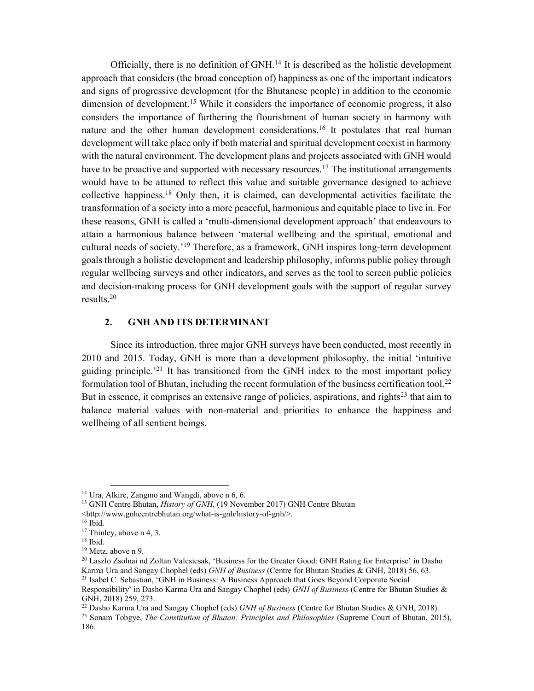Officially, there is no definition of GNH.<sup>14</sup> It is described as the holistic development approach that considers (the broad conception of) happiness as one of the important indicators and signs of progressive development (for the Bhutanese people) in addition to the economic dimension of development.<sup>15</sup> While it considers the importance of economic progress, it also considers the importance of furthering the flourishment of human society in harmony with nature and the other human development considerations.<sup>16</sup> It postulates that real human development will take place only if both material and spiritual development coexist in harmony with the natural environment. The development plans and projects associated with GNH would have to be proactive and supported with necessary resources.<sup>17</sup> The institutional arrangements would have to be attuned to reflect this value and suitable governance designed to achieve collective happiness.<sup>18</sup> Only then, it is claimed, can developmental activities facilitate the transformation of a society into a more peaceful, harmonious and equitable place to live in. For these reasons, GNH is called a 'multi-dimensional development approach' that endeavours to attain a harmonious balance between 'material wellbeing and the spiritual, emotional and cultural needs of society.'<sup>19</sup> Therefore, as a framework, GNH inspires long-term development goals through a holistic development and leadership philosophy, informs public policy through regular wellbeing surveys and other indicators, and serves as the tool to screen public policies and decision-making process for GNH development goals with the support of regular survey results.<sup>20</sup>

#### 2. GNH AND ITS DETERMINANT

Since its introduction, three major GNH surveys have been conducted, most recently in 2010 and 2015. Today, GNH is more than a development philosophy, the initial 'intuitive guiding principle.<sup>21</sup> It has transitioned from the GNH index to the most important policy formulation tool of Bhutan, including the recent formulation of the business certification tool.<sup>22</sup> But in essence, it comprises an extensive range of policies, aspirations, and rights<sup>23</sup> that aim to balance material values with non-material and priorities to enhance the happiness and wellbeing of all sentient beings.

 $\overline{a}$ 

<sup>22</sup> Dasho Karma Ura and Sangay Chophel (eds)  $GNH$  of Business (Centre for Bhutan Studies & GNH, 2018).

<sup>&</sup>lt;sup>14</sup> Ura, Alkire, Zangmo and Wangdi, above n 6, 6.

<sup>&</sup>lt;sup>15</sup> GNH Centre Bhutan, *History of GNH*, (19 November 2017) GNH Centre Bhutan

<sup>&</sup>lt;http://www.gnhcentrebhutan.org/what-is-gnh/history-of-gnh/>.

<sup>16</sup> Ibid.

<sup>&</sup>lt;sup>17</sup> Thinley, above n 4, 3.

 $18$  Ibid.

<sup>&</sup>lt;sup>19</sup> Metz, above n 9.

<sup>&</sup>lt;sup>20</sup> Laszlo Zsolnai nd Zoltan Valcsicsak, 'Business for the Greater Good: GNH Rating for Enterprise' in Dasho Karma Ura and Sangay Chophel (eds) GNH of Business (Centre for Bhutan Studies & GNH, 2018) 56, 63. <sup>21</sup> Isabel C. Sebastian, 'GNH in Business: A Business Approach that Goes Beyond Corporate Social

Responsibility' in Dasho Karma Ura and Sangay Chophel (eds) GNH of Business (Centre for Bhutan Studies & GNH, 2018) 259, 273.

<sup>&</sup>lt;sup>23</sup> Sonam Tobgye, *The Constitution of Bhutan: Principles and Philosophies* (Supreme Court of Bhutan, 2015), 186.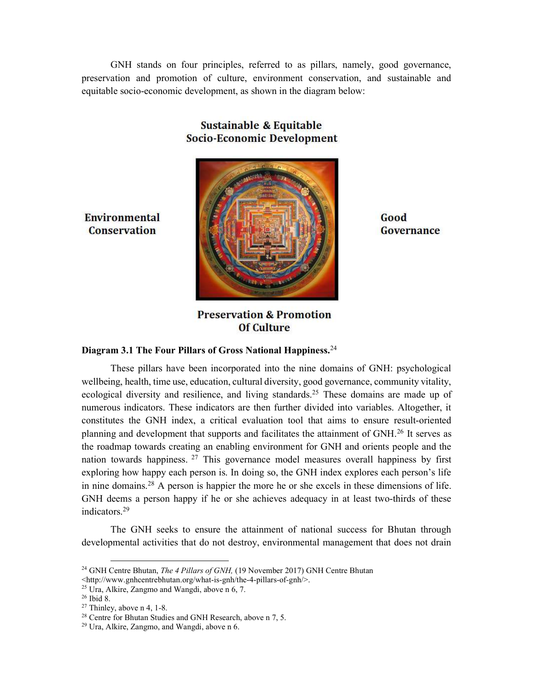GNH stands on four principles, referred to as pillars, namely, good governance, preservation and promotion of culture, environment conservation, and sustainable and equitable socio-economic development, as shown in the diagram below:



## Sustainable & Equitable **Socio-Economic Development**

Environmental **Conservation** 

Good Governance

**Preservation & Promotion Of Culture** 

#### Diagram 3.1 The Four Pillars of Gross National Happiness.<sup>24</sup>

These pillars have been incorporated into the nine domains of GNH: psychological wellbeing, health, time use, education, cultural diversity, good governance, community vitality, ecological diversity and resilience, and living standards.<sup>25</sup> These domains are made up of numerous indicators. These indicators are then further divided into variables. Altogether, it constitutes the GNH index, a critical evaluation tool that aims to ensure result-oriented planning and development that supports and facilitates the attainment of GNH.<sup>26</sup> It serves as the roadmap towards creating an enabling environment for GNH and orients people and the nation towards happiness.<sup>27</sup> This governance model measures overall happiness by first exploring how happy each person is. In doing so, the GNH index explores each person's life in nine domains.<sup>28</sup> A person is happier the more he or she excels in these dimensions of life. GNH deems a person happy if he or she achieves adequacy in at least two-thirds of these indicators.<sup>29</sup>

The GNH seeks to ensure the attainment of national success for Bhutan through developmental activities that do not destroy, environmental management that does not drain

<sup>&</sup>lt;sup>24</sup> GNH Centre Bhutan, *The 4 Pillars of GNH*, (19 November 2017) GNH Centre Bhutan

<sup>&</sup>lt;http://www.gnhcentrebhutan.org/what-is-gnh/the-4-pillars-of-gnh/>.

<sup>&</sup>lt;sup>25</sup> Ura, Alkire, Zangmo and Wangdi, above n 6, 7.

<sup>26</sup> Ibid 8.

<sup>27</sup> Thinley, above n 4, 1-8.

<sup>&</sup>lt;sup>28</sup> Centre for Bhutan Studies and GNH Research, above n 7, 5.

<sup>29</sup> Ura, Alkire, Zangmo, and Wangdi, above n 6.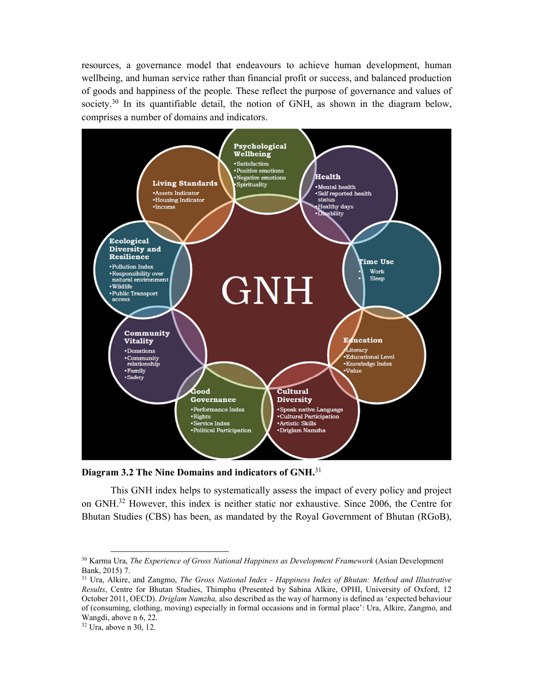resources, a governance model that endeavours to achieve human development, human wellbeing, and human service rather than financial profit or success, and balanced production of goods and happiness of the people. These reflect the purpose of governance and values of society.<sup>30</sup> In its quantifiable detail, the notion of GNH, as shown in the diagram below, comprises a number of domains and indicators.



Diagram 3.2 The Nine Domains and indicators of GNH.<sup>31</sup>

This GNH index helps to systematically assess the impact of every policy and project on GNH.32 However, this index is neither static nor exhaustive. Since 2006, the Centre for Bhutan Studies (CBS) has been, as mandated by the Royal Government of Bhutan (RGoB),

 $30$  Karma Ura, The Experience of Gross National Happiness as Development Framework (Asian Development Bank, 2015) 7.<br><sup>31</sup> Ura, Alkire, and Zangmo, *The Gross National Index - Happiness Index of Bhutan: Method and Illustrative* 

Results, Centre for Bhutan Studies, Thimphu (Presented by Sabina Alkire, OPHI, University of Oxford, 12 October 2011, OECD). Driglam Namzha, also described as the way of harmony is defined as 'expected behaviour of (consuming, clothing, moving) especially in formal occasions and in formal place': Ura, Alkire, Zangmo, and Wangdi, above n 6, 22. 32 Ura, above n 30, 12.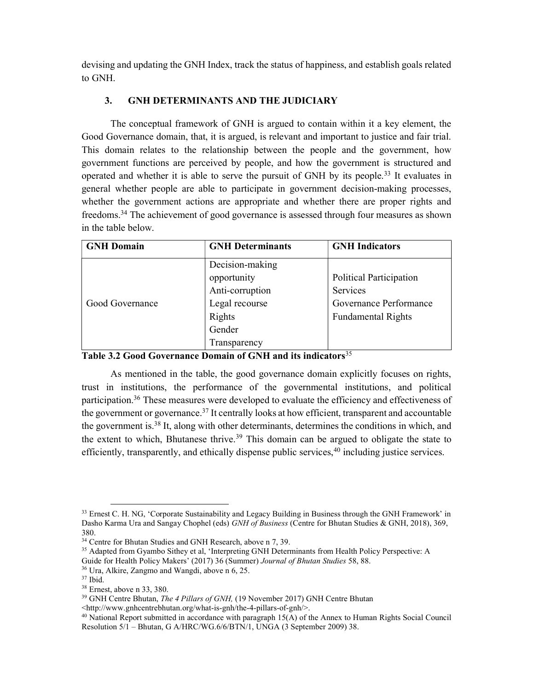devising and updating the GNH Index, track the status of happiness, and establish goals related to GNH.

### 3. GNH DETERMINANTS AND THE JUDICIARY

The conceptual framework of GNH is argued to contain within it a key element, the Good Governance domain, that, it is argued, is relevant and important to justice and fair trial. This domain relates to the relationship between the people and the government, how government functions are perceived by people, and how the government is structured and operated and whether it is able to serve the pursuit of GNH by its people.<sup>33</sup> It evaluates in general whether people are able to participate in government decision-making processes, whether the government actions are appropriate and whether there are proper rights and freedoms.<sup>34</sup> The achievement of good governance is assessed through four measures as shown in the table below.

| <b>GNH Domain</b> | <b>GNH</b> Determinants | <b>GNH</b> Indicators     |
|-------------------|-------------------------|---------------------------|
|                   | Decision-making         |                           |
|                   | opportunity             | Political Participation   |
|                   | Anti-corruption         | Services                  |
| Good Governance   | Legal recourse          | Governance Performance    |
|                   | Rights                  | <b>Fundamental Rights</b> |
|                   | Gender                  |                           |
|                   | Transparency            |                           |

Table 3.2 Good Governance Domain of GNH and its indicators<sup>35</sup>

As mentioned in the table, the good governance domain explicitly focuses on rights, trust in institutions, the performance of the governmental institutions, and political participation.<sup>36</sup> These measures were developed to evaluate the efficiency and effectiveness of the government or governance.<sup>37</sup> It centrally looks at how efficient, transparent and accountable the government is.<sup>38</sup> It, along with other determinants, determines the conditions in which, and the extent to which, Bhutanese thrive.<sup>39</sup> This domain can be argued to obligate the state to efficiently, transparently, and ethically dispense public services,<sup>40</sup> including justice services.

<sup>&</sup>lt;sup>33</sup> Ernest C. H. NG, 'Corporate Sustainability and Legacy Building in Business through the GNH Framework' in Dasho Karma Ura and Sangay Chophel (eds) GNH of Business (Centre for Bhutan Studies & GNH, 2018), 369, 380.

<sup>&</sup>lt;sup>34</sup> Centre for Bhutan Studies and GNH Research, above n 7, 39.

<sup>&</sup>lt;sup>35</sup> Adapted from Gyambo Sithey et al, 'Interpreting GNH Determinants from Health Policy Perspective: A Guide for Health Policy Makers' (2017) 36 (Summer) Journal of Bhutan Studies 58, 88.

<sup>36</sup> Ura, Alkire, Zangmo and Wangdi, above n 6, 25.

<sup>37</sup> Ibid.

<sup>38</sup> Ernest, above n 33, 380.

<sup>&</sup>lt;sup>39</sup> GNH Centre Bhutan, *The 4 Pillars of GNH*, (19 November 2017) GNH Centre Bhutan

<sup>&</sup>lt;http://www.gnhcentrebhutan.org/what-is-gnh/the-4-pillars-of-gnh/>.

 $^{40}$  National Report submitted in accordance with paragraph 15(A) of the Annex to Human Rights Social Council Resolution 5/1 – Bhutan, G A/HRC/WG.6/6/BTN/1, UNGA (3 September 2009) 38.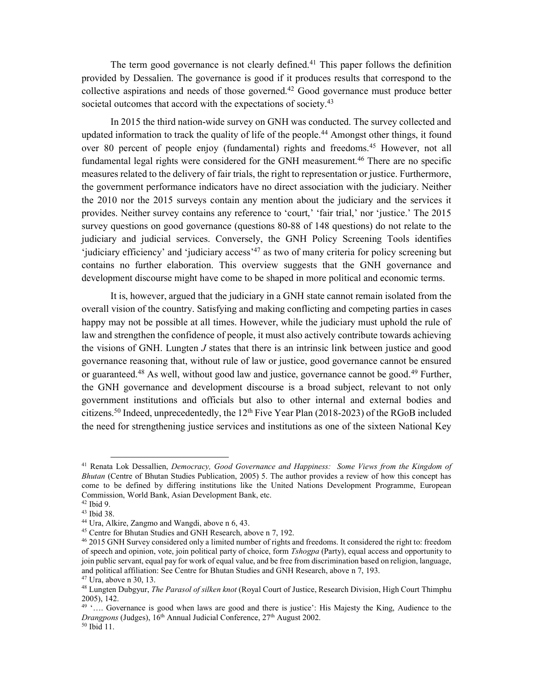The term good governance is not clearly defined.<sup>41</sup> This paper follows the definition provided by Dessalien. The governance is good if it produces results that correspond to the collective aspirations and needs of those governed.<sup>42</sup> Good governance must produce better societal outcomes that accord with the expectations of society.<sup>43</sup>

In 2015 the third nation-wide survey on GNH was conducted. The survey collected and updated information to track the quality of life of the people.<sup>44</sup> Amongst other things, it found over 80 percent of people enjoy (fundamental) rights and freedoms.<sup>45</sup> However, not all fundamental legal rights were considered for the GNH measurement.<sup>46</sup> There are no specific measures related to the delivery of fair trials, the right to representation or justice. Furthermore, the government performance indicators have no direct association with the judiciary. Neither the 2010 nor the 2015 surveys contain any mention about the judiciary and the services it provides. Neither survey contains any reference to 'court,' 'fair trial,' nor 'justice.' The 2015 survey questions on good governance (questions 80-88 of 148 questions) do not relate to the judiciary and judicial services. Conversely, the GNH Policy Screening Tools identifies 'judiciary efficiency' and 'judiciary access'<sup>47</sup> as two of many criteria for policy screening but contains no further elaboration. This overview suggests that the GNH governance and development discourse might have come to be shaped in more political and economic terms.

It is, however, argued that the judiciary in a GNH state cannot remain isolated from the overall vision of the country. Satisfying and making conflicting and competing parties in cases happy may not be possible at all times. However, while the judiciary must uphold the rule of law and strengthen the confidence of people, it must also actively contribute towards achieving the visions of GNH. Lungten  $J$  states that there is an intrinsic link between justice and good governance reasoning that, without rule of law or justice, good governance cannot be ensured or guaranteed.<sup>48</sup> As well, without good law and justice, governance cannot be good.<sup>49</sup> Further, the GNH governance and development discourse is a broad subject, relevant to not only government institutions and officials but also to other internal and external bodies and citizens.<sup>50</sup> Indeed, unprecedentedly, the  $12<sup>th</sup>$  Five Year Plan (2018-2023) of the RGoB included the need for strengthening justice services and institutions as one of the sixteen National Key

<sup>&</sup>lt;sup>41</sup> Renata Lok Dessallien, Democracy, Good Governance and Happiness: Some Views from the Kingdom of Bhutan (Centre of Bhutan Studies Publication, 2005) 5. The author provides a review of how this concept has come to be defined by differing institutions like the United Nations Development Programme, European Commission, World Bank, Asian Development Bank, etc.

<sup>42</sup> Ibid 9.

<sup>43</sup> Ibid 38.

<sup>44</sup> Ura, Alkire, Zangmo and Wangdi, above n 6, 43.

<sup>45</sup> Centre for Bhutan Studies and GNH Research, above n 7, 192.

<sup>&</sup>lt;sup>46</sup> 2015 GNH Survey considered only a limited number of rights and freedoms. It considered the right to: freedom of speech and opinion, vote, join political party of choice, form Tshogpa (Party), equal access and opportunity to join public servant, equal pay for work of equal value, and be free from discrimination based on religion, language, and political affiliation: See Centre for Bhutan Studies and GNH Research, above n 7, 193.  $47 \text{ Ura}$ , above n 30, 13.

<sup>&</sup>lt;sup>48</sup> Lungten Dubgyur, The Parasol of silken knot (Royal Court of Justice, Research Division, High Court Thimphu 2005), 142.

<sup>49</sup> '…. Governance is good when laws are good and there is justice': His Majesty the King, Audience to the Drangpons (Judges),  $16<sup>th</sup>$  Annual Judicial Conference,  $27<sup>th</sup>$  August 2002.

<sup>50</sup> Ibid 11.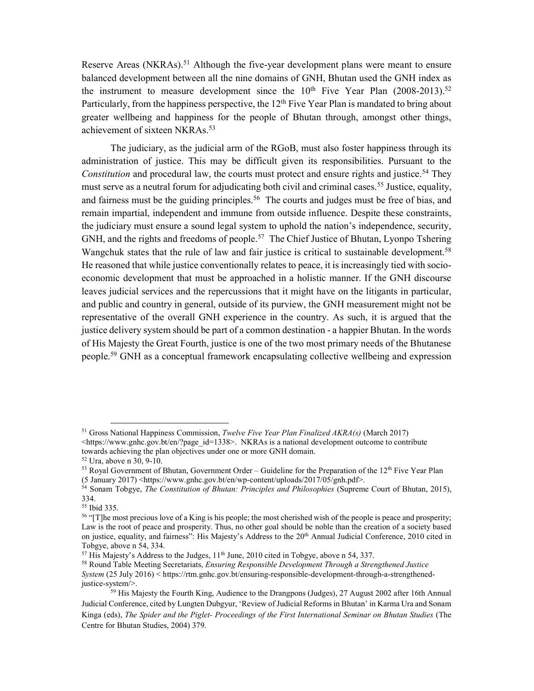Reserve Areas (NKRAs).<sup>51</sup> Although the five-year development plans were meant to ensure balanced development between all the nine domains of GNH, Bhutan used the GNH index as the instrument to measure development since the  $10<sup>th</sup>$  Five Year Plan (2008-2013).<sup>52</sup> Particularly, from the happiness perspective, the 12<sup>th</sup> Five Year Plan is mandated to bring about greater wellbeing and happiness for the people of Bhutan through, amongst other things, achievement of sixteen NKRAs.<sup>53</sup>

The judiciary, as the judicial arm of the RGoB, must also foster happiness through its administration of justice. This may be difficult given its responsibilities. Pursuant to the Constitution and procedural law, the courts must protect and ensure rights and justice.<sup>54</sup> They must serve as a neutral forum for adjudicating both civil and criminal cases.<sup>55</sup> Justice, equality, and fairness must be the guiding principles.<sup>56</sup> The courts and judges must be free of bias, and remain impartial, independent and immune from outside influence. Despite these constraints, the judiciary must ensure a sound legal system to uphold the nation's independence, security, GNH, and the rights and freedoms of people.<sup>57</sup> The Chief Justice of Bhutan, Lyonpo Tshering Wangchuk states that the rule of law and fair justice is critical to sustainable development.<sup>58</sup> He reasoned that while justice conventionally relates to peace, it is increasingly tied with socioeconomic development that must be approached in a holistic manner. If the GNH discourse leaves judicial services and the repercussions that it might have on the litigants in particular, and public and country in general, outside of its purview, the GNH measurement might not be representative of the overall GNH experience in the country. As such, it is argued that the justice delivery system should be part of a common destination - a happier Bhutan. In the words of His Majesty the Great Fourth, justice is one of the two most primary needs of the Bhutanese people.<sup>59</sup> GNH as a conceptual framework encapsulating collective wellbeing and expression

 $\overline{a}$ 

<sup>&</sup>lt;sup>51</sup> Gross National Happiness Commission, *Twelve Five Year Plan Finalized AKRA(s)* (March 2017)  $\langle$ https://www.gnhc.gov.bt/en/?page\_id=1338>. NKRAs is a national development outcome to contribute towards achieving the plan objectives under one or more GNH domain.

<sup>52</sup> Ura, above n 30, 9-10.

 $53$  Royal Government of Bhutan, Government Order – Guideline for the Preparation of the  $12<sup>th</sup>$  Five Year Plan

<sup>(5</sup> January 2017) <https://www.gnhc.gov.bt/en/wp-content/uploads/2017/05/gnh.pdf>.

<sup>54</sup> Sonam Tobgye, The Constitution of Bhutan: Principles and Philosophies (Supreme Court of Bhutan, 2015), 334.

<sup>55</sup> Ibid 335.

<sup>&</sup>lt;sup>56</sup> "[T]he most precious love of a King is his people; the most cherished wish of the people is peace and prosperity; Law is the root of peace and prosperity. Thus, no other goal should be noble than the creation of a society based on justice, equality, and fairness": His Majesty's Address to the 20<sup>th</sup> Annual Judicial Conference, 2010 cited in Tobgye, above n 54, 334.

 $57$  His Majesty's Address to the Judges,  $11<sup>th</sup>$  June, 2010 cited in Tobgye, above n 54, 337.

<sup>&</sup>lt;sup>58</sup> Round Table Meeting Secretariats, *Ensuring Responsible Development Through a Strengthened Justice* System (25 July 2016) < https://rtm.gnhc.gov.bt/ensuring-responsible-development-through-a-strengthenedjustice-system/>.

<sup>&</sup>lt;sup>59</sup> His Majesty the Fourth King, Audience to the Drangpons (Judges), 27 August 2002 after 16th Annual Judicial Conference, cited by Lungten Dubgyur, 'Review of Judicial Reforms in Bhutan' in Karma Ura and Sonam Kinga (eds), The Spider and the Piglet- Proceedings of the First International Seminar on Bhutan Studies (The Centre for Bhutan Studies, 2004) 379.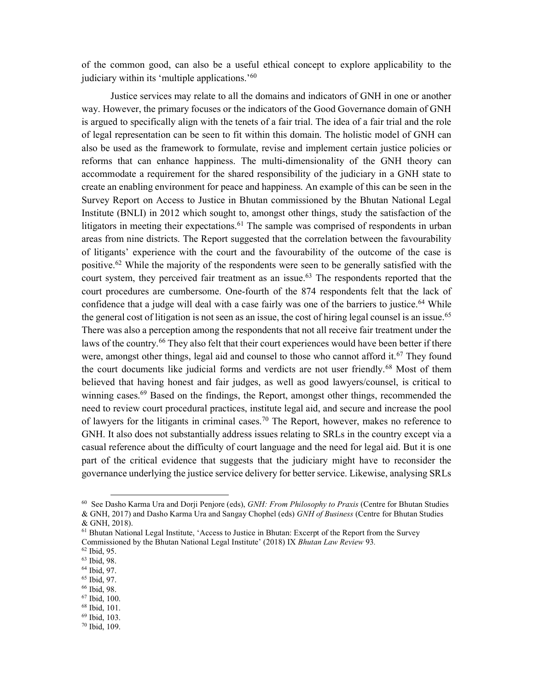of the common good, can also be a useful ethical concept to explore applicability to the judiciary within its 'multiple applications.'<sup>60</sup>

Justice services may relate to all the domains and indicators of GNH in one or another way. However, the primary focuses or the indicators of the Good Governance domain of GNH is argued to specifically align with the tenets of a fair trial. The idea of a fair trial and the role of legal representation can be seen to fit within this domain. The holistic model of GNH can also be used as the framework to formulate, revise and implement certain justice policies or reforms that can enhance happiness. The multi-dimensionality of the GNH theory can accommodate a requirement for the shared responsibility of the judiciary in a GNH state to create an enabling environment for peace and happiness. An example of this can be seen in the Survey Report on Access to Justice in Bhutan commissioned by the Bhutan National Legal Institute (BNLI) in 2012 which sought to, amongst other things, study the satisfaction of the litigators in meeting their expectations.<sup>61</sup> The sample was comprised of respondents in urban areas from nine districts. The Report suggested that the correlation between the favourability of litigants' experience with the court and the favourability of the outcome of the case is positive.<sup>62</sup> While the majority of the respondents were seen to be generally satisfied with the court system, they perceived fair treatment as an issue.<sup>63</sup> The respondents reported that the court procedures are cumbersome. One-fourth of the 874 respondents felt that the lack of confidence that a judge will deal with a case fairly was one of the barriers to justice.<sup>64</sup> While the general cost of litigation is not seen as an issue, the cost of hiring legal counsel is an issue.<sup>65</sup> There was also a perception among the respondents that not all receive fair treatment under the laws of the country.<sup>66</sup> They also felt that their court experiences would have been better if there were, amongst other things, legal aid and counsel to those who cannot afford it.<sup>67</sup> They found the court documents like judicial forms and verdicts are not user friendly.<sup>68</sup> Most of them believed that having honest and fair judges, as well as good lawyers/counsel, is critical to winning cases.<sup>69</sup> Based on the findings, the Report, amongst other things, recommended the need to review court procedural practices, institute legal aid, and secure and increase the pool of lawyers for the litigants in criminal cases.<sup>70</sup> The Report, however, makes no reference to GNH. It also does not substantially address issues relating to SRLs in the country except via a casual reference about the difficulty of court language and the need for legal aid. But it is one part of the critical evidence that suggests that the judiciary might have to reconsider the governance underlying the justice service delivery for better service. Likewise, analysing SRLs

-

<sup>66</sup> Ibid, 98.

 $60$  See Dasho Karma Ura and Dorji Penjore (eds),  $GNH$ : From Philosophy to Praxis (Centre for Bhutan Studies & GNH, 2017) and Dasho Karma Ura and Sangay Chophel (eds) GNH of Business (Centre for Bhutan Studies

<sup>&</sup>amp; GNH, 2018).

<sup>&</sup>lt;sup>61</sup> Bhutan National Legal Institute, 'Access to Justice in Bhutan: Excerpt of the Report from the Survey Commissioned by the Bhutan National Legal Institute' (2018) IX Bhutan Law Review 93.

<sup>62</sup> Ibid, 95.

<sup>63</sup> Ibid, 98.

<sup>64</sup> Ibid, 97.

<sup>65</sup> Ibid, 97.

<sup>67</sup> Ibid, 100. <sup>68</sup> Ibid, 101.

<sup>69</sup> Ibid, 103. 70 Ibid, 109.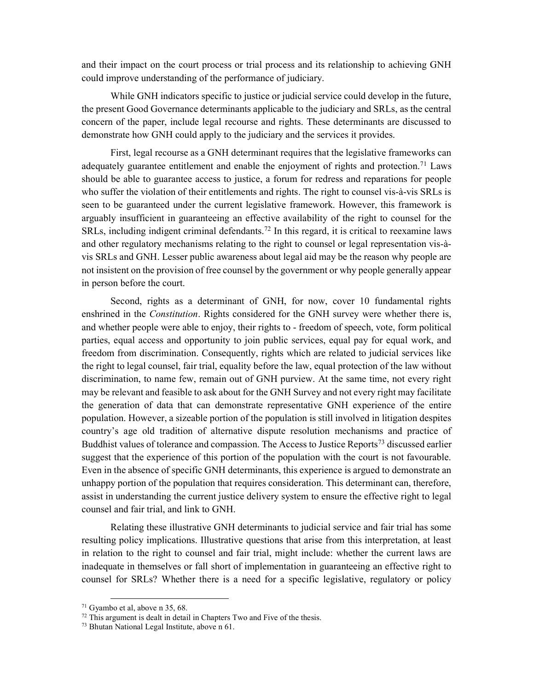and their impact on the court process or trial process and its relationship to achieving GNH could improve understanding of the performance of judiciary.

While GNH indicators specific to justice or judicial service could develop in the future, the present Good Governance determinants applicable to the judiciary and SRLs, as the central concern of the paper, include legal recourse and rights. These determinants are discussed to demonstrate how GNH could apply to the judiciary and the services it provides.

First, legal recourse as a GNH determinant requires that the legislative frameworks can adequately guarantee entitlement and enable the enjoyment of rights and protection.<sup>71</sup> Laws should be able to guarantee access to justice, a forum for redress and reparations for people who suffer the violation of their entitlements and rights. The right to counsel vis-à-vis SRLs is seen to be guaranteed under the current legislative framework. However, this framework is arguably insufficient in guaranteeing an effective availability of the right to counsel for the SRLs, including indigent criminal defendants.<sup>72</sup> In this regard, it is critical to reexamine laws and other regulatory mechanisms relating to the right to counsel or legal representation vis-àvis SRLs and GNH. Lesser public awareness about legal aid may be the reason why people are not insistent on the provision of free counsel by the government or why people generally appear in person before the court.

Second, rights as a determinant of GNH, for now, cover 10 fundamental rights enshrined in the *Constitution*. Rights considered for the GNH survey were whether there is, and whether people were able to enjoy, their rights to - freedom of speech, vote, form political parties, equal access and opportunity to join public services, equal pay for equal work, and freedom from discrimination. Consequently, rights which are related to judicial services like the right to legal counsel, fair trial, equality before the law, equal protection of the law without discrimination, to name few, remain out of GNH purview. At the same time, not every right may be relevant and feasible to ask about for the GNH Survey and not every right may facilitate the generation of data that can demonstrate representative GNH experience of the entire population. However, a sizeable portion of the population is still involved in litigation despites country's age old tradition of alternative dispute resolution mechanisms and practice of Buddhist values of tolerance and compassion. The Access to Justice Reports<sup>73</sup> discussed earlier suggest that the experience of this portion of the population with the court is not favourable. Even in the absence of specific GNH determinants, this experience is argued to demonstrate an unhappy portion of the population that requires consideration. This determinant can, therefore, assist in understanding the current justice delivery system to ensure the effective right to legal counsel and fair trial, and link to GNH.

Relating these illustrative GNH determinants to judicial service and fair trial has some resulting policy implications. Illustrative questions that arise from this interpretation, at least in relation to the right to counsel and fair trial, might include: whether the current laws are inadequate in themselves or fall short of implementation in guaranteeing an effective right to counsel for SRLs? Whether there is a need for a specific legislative, regulatory or policy

 $\overline{a}$ 

<sup>71</sup> Gyambo et al, above n 35, 68.

 $72$  This argument is dealt in detail in Chapters Two and Five of the thesis.

<sup>73</sup> Bhutan National Legal Institute, above n 61.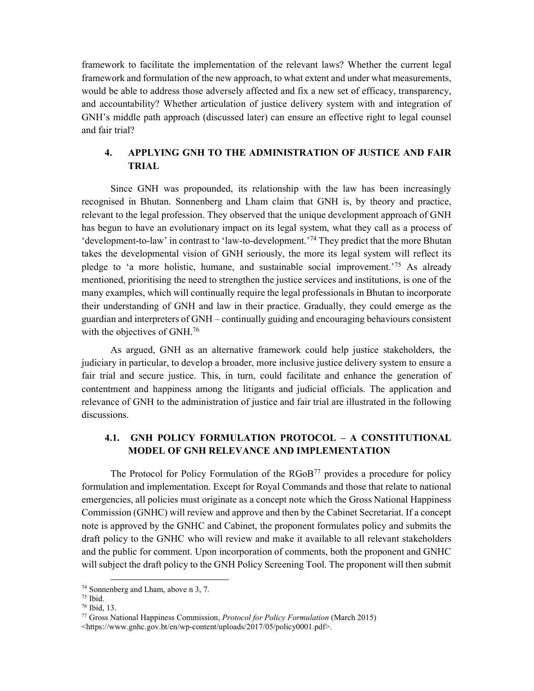framework to facilitate the implementation of the relevant laws? Whether the current legal framework and formulation of the new approach, to what extent and under what measurements, would be able to address those adversely affected and fix a new set of efficacy, transparency, and accountability? Whether articulation of justice delivery system with and integration of GNH's middle path approach (discussed later) can ensure an effective right to legal counsel and fair trial?

## 4. APPLYING GNH TO THE ADMINISTRATION OF JUSTICE AND FAIR TRIAL

Since GNH was propounded, its relationship with the law has been increasingly recognised in Bhutan. Sonnenberg and Lham claim that GNH is, by theory and practice, relevant to the legal profession. They observed that the unique development approach of GNH has begun to have an evolutionary impact on its legal system, what they call as a process of 'development-to-law' in contrast to 'law-to-development.'<sup>74</sup> They predict that the more Bhutan takes the developmental vision of GNH seriously, the more its legal system will reflect its pledge to 'a more holistic, humane, and sustainable social improvement.'<sup>75</sup> As already mentioned, prioritising the need to strengthen the justice services and institutions, is one of the many examples, which will continually require the legal professionals in Bhutan to incorporate their understanding of GNH and law in their practice. Gradually, they could emerge as the guardian and interpreters of GNH – continually guiding and encouraging behaviours consistent with the objectives of GNH.<sup>76</sup>

As argued, GNH as an alternative framework could help justice stakeholders, the judiciary in particular, to develop a broader, more inclusive justice delivery system to ensure a fair trial and secure justice. This, in turn, could facilitate and enhance the generation of contentment and happiness among the litigants and judicial officials. The application and relevance of GNH to the administration of justice and fair trial are illustrated in the following discussions.

## 4.1. GNH POLICY FORMULATION PROTOCOL – A CONSTITUTIONAL MODEL OF GNH RELEVANCE AND IMPLEMENTATION

The Protocol for Policy Formulation of the  $RGoB^{77}$  provides a procedure for policy formulation and implementation. Except for Royal Commands and those that relate to national emergencies, all policies must originate as a concept note which the Gross National Happiness Commission (GNHC) will review and approve and then by the Cabinet Secretariat. If a concept note is approved by the GNHC and Cabinet, the proponent formulates policy and submits the draft policy to the GNHC who will review and make it available to all relevant stakeholders and the public for comment. Upon incorporation of comments, both the proponent and GNHC will subject the draft policy to the GNH Policy Screening Tool. The proponent will then submit

<sup>74</sup> Sonnenberg and Lham, above n 3, 7.

<sup>75</sup> Ibid.

<sup>76</sup> Ibid, 13.

<sup>77</sup> Gross National Happiness Commission, Protocol for Policy Formulation (March 2015) <https://www.gnhc.gov.bt/en/wp-content/uploads/2017/05/policy0001.pdf>.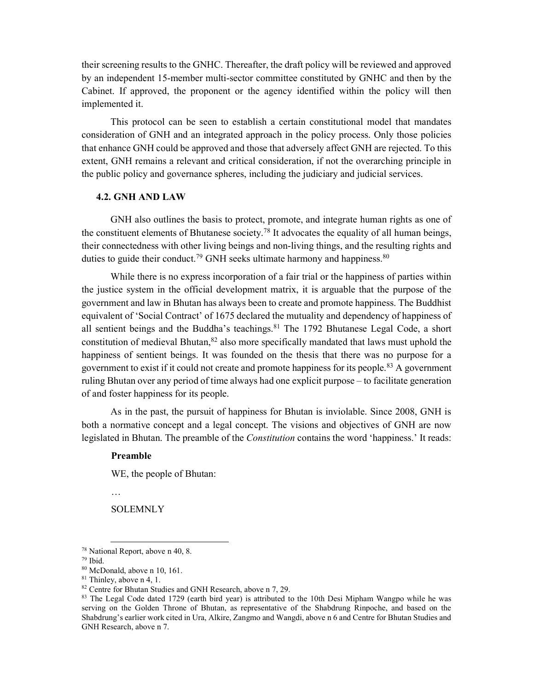their screening results to the GNHC. Thereafter, the draft policy will be reviewed and approved by an independent 15-member multi-sector committee constituted by GNHC and then by the Cabinet. If approved, the proponent or the agency identified within the policy will then implemented it.

This protocol can be seen to establish a certain constitutional model that mandates consideration of GNH and an integrated approach in the policy process. Only those policies that enhance GNH could be approved and those that adversely affect GNH are rejected. To this extent, GNH remains a relevant and critical consideration, if not the overarching principle in the public policy and governance spheres, including the judiciary and judicial services.

#### 4.2. GNH AND LAW

GNH also outlines the basis to protect, promote, and integrate human rights as one of the constituent elements of Bhutanese society.<sup>78</sup> It advocates the equality of all human beings, their connectedness with other living beings and non-living things, and the resulting rights and duties to guide their conduct.<sup>79</sup> GNH seeks ultimate harmony and happiness.<sup>80</sup>

While there is no express incorporation of a fair trial or the happiness of parties within the justice system in the official development matrix, it is arguable that the purpose of the government and law in Bhutan has always been to create and promote happiness. The Buddhist equivalent of 'Social Contract' of 1675 declared the mutuality and dependency of happiness of all sentient beings and the Buddha's teachings. <sup>81</sup> The 1792 Bhutanese Legal Code, a short constitution of medieval Bhutan,  $82$  also more specifically mandated that laws must uphold the happiness of sentient beings. It was founded on the thesis that there was no purpose for a government to exist if it could not create and promote happiness for its people.<sup>83</sup> A government ruling Bhutan over any period of time always had one explicit purpose – to facilitate generation of and foster happiness for its people.

As in the past, the pursuit of happiness for Bhutan is inviolable. Since 2008, GNH is both a normative concept and a legal concept. The visions and objectives of GNH are now legislated in Bhutan. The preamble of the *Constitution* contains the word 'happiness.' It reads:

#### Preamble

WE, the people of Bhutan:

…

 $\overline{a}$ 

**SOLEMNLY** 

<sup>78</sup> National Report, above n 40, 8.

<sup>79</sup> Ibid.

<sup>80</sup> McDonald, above n 10, 161.

<sup>81</sup> Thinley, above n 4, 1.

<sup>&</sup>lt;sup>82</sup> Centre for Bhutan Studies and GNH Research, above n 7, 29.

<sup>83</sup> The Legal Code dated 1729 (earth bird year) is attributed to the 10th Desi Mipham Wangpo while he was serving on the Golden Throne of Bhutan, as representative of the Shabdrung Rinpoche, and based on the Shabdrung's earlier work cited in Ura, Alkire, Zangmo and Wangdi, above n 6 and Centre for Bhutan Studies and GNH Research, above n 7.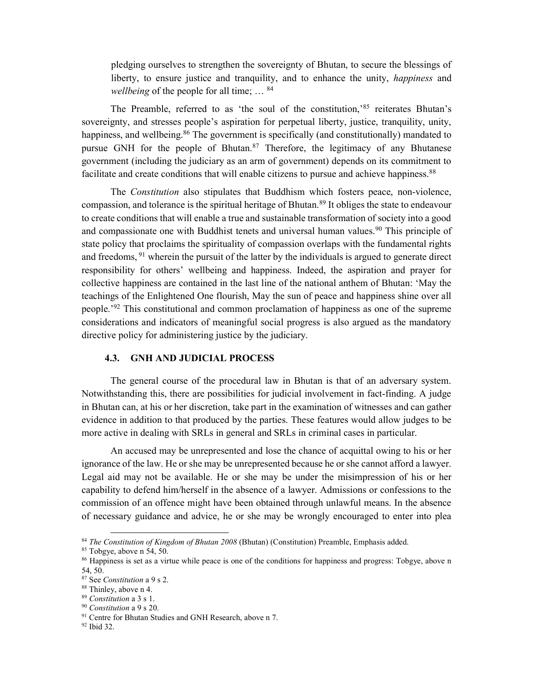pledging ourselves to strengthen the sovereignty of Bhutan, to secure the blessings of liberty, to ensure justice and tranquility, and to enhance the unity, *happiness* and wellbeing of the people for all time; ... <sup>84</sup>

The Preamble, referred to as 'the soul of the constitution,'<sup>85</sup> reiterates Bhutan's sovereignty, and stresses people's aspiration for perpetual liberty, justice, tranquility, unity, happiness, and wellbeing.<sup>86</sup> The government is specifically (and constitutionally) mandated to pursue GNH for the people of Bhutan.<sup>87</sup> Therefore, the legitimacy of any Bhutanese government (including the judiciary as an arm of government) depends on its commitment to facilitate and create conditions that will enable citizens to pursue and achieve happiness.<sup>88</sup>

The Constitution also stipulates that Buddhism which fosters peace, non-violence, compassion, and tolerance is the spiritual heritage of Bhutan.<sup>89</sup> It obliges the state to endeavour to create conditions that will enable a true and sustainable transformation of society into a good and compassionate one with Buddhist tenets and universal human values.<sup>90</sup> This principle of state policy that proclaims the spirituality of compassion overlaps with the fundamental rights and freedoms, <sup>91</sup> wherein the pursuit of the latter by the individuals is argued to generate direct responsibility for others' wellbeing and happiness. Indeed, the aspiration and prayer for collective happiness are contained in the last line of the national anthem of Bhutan: 'May the teachings of the Enlightened One flourish, May the sun of peace and happiness shine over all people.<sup>'92</sup> This constitutional and common proclamation of happiness as one of the supreme considerations and indicators of meaningful social progress is also argued as the mandatory directive policy for administering justice by the judiciary.

#### 4.3. GNH AND JUDICIAL PROCESS

The general course of the procedural law in Bhutan is that of an adversary system. Notwithstanding this, there are possibilities for judicial involvement in fact-finding. A judge in Bhutan can, at his or her discretion, take part in the examination of witnesses and can gather evidence in addition to that produced by the parties. These features would allow judges to be more active in dealing with SRLs in general and SRLs in criminal cases in particular.

An accused may be unrepresented and lose the chance of acquittal owing to his or her ignorance of the law. He or she may be unrepresented because he or she cannot afford a lawyer. Legal aid may not be available. He or she may be under the misimpression of his or her capability to defend him/herself in the absence of a lawyer. Admissions or confessions to the commission of an offence might have been obtained through unlawful means. In the absence of necessary guidance and advice, he or she may be wrongly encouraged to enter into plea

 $84$  The Constitution of Kingdom of Bhutan 2008 (Bhutan) (Constitution) Preamble, Emphasis added.

<sup>85</sup> Tobgye, above n 54, 50.

<sup>86</sup> Happiness is set as a virtue while peace is one of the conditions for happiness and progress: Tobgye, above n 54, 50.

<sup>87</sup> See Constitution a 9 s 2.

<sup>88</sup> Thinley, above n 4.

 $^{89}$  Constitution a 3 s 1.

 $90$  Constitution a  $9$  s  $20$ .

<sup>&</sup>lt;sup>91</sup> Centre for Bhutan Studies and GNH Research, above n 7.

<sup>92</sup> Ibid 32.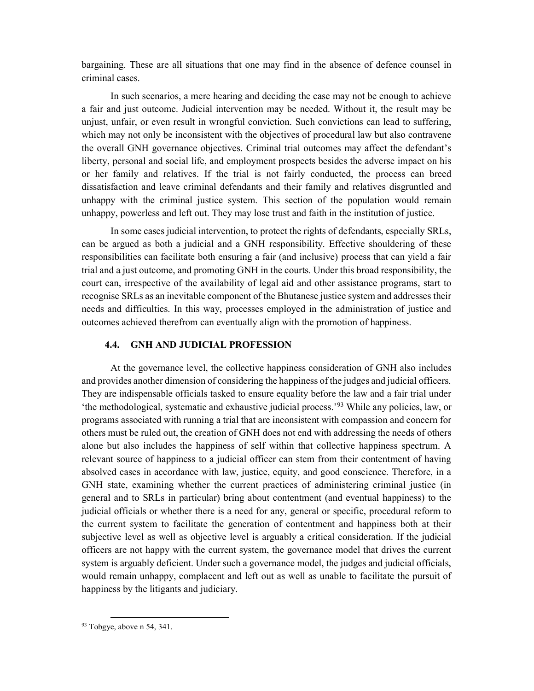bargaining. These are all situations that one may find in the absence of defence counsel in criminal cases.

In such scenarios, a mere hearing and deciding the case may not be enough to achieve a fair and just outcome. Judicial intervention may be needed. Without it, the result may be unjust, unfair, or even result in wrongful conviction. Such convictions can lead to suffering, which may not only be inconsistent with the objectives of procedural law but also contravene the overall GNH governance objectives. Criminal trial outcomes may affect the defendant's liberty, personal and social life, and employment prospects besides the adverse impact on his or her family and relatives. If the trial is not fairly conducted, the process can breed dissatisfaction and leave criminal defendants and their family and relatives disgruntled and unhappy with the criminal justice system. This section of the population would remain unhappy, powerless and left out. They may lose trust and faith in the institution of justice.

In some cases judicial intervention, to protect the rights of defendants, especially SRLs, can be argued as both a judicial and a GNH responsibility. Effective shouldering of these responsibilities can facilitate both ensuring a fair (and inclusive) process that can yield a fair trial and a just outcome, and promoting GNH in the courts. Under this broad responsibility, the court can, irrespective of the availability of legal aid and other assistance programs, start to recognise SRLs as an inevitable component of the Bhutanese justice system and addresses their needs and difficulties. In this way, processes employed in the administration of justice and outcomes achieved therefrom can eventually align with the promotion of happiness.

#### 4.4. GNH AND JUDICIAL PROFESSION

At the governance level, the collective happiness consideration of GNH also includes and provides another dimension of considering the happiness of the judges and judicial officers. They are indispensable officials tasked to ensure equality before the law and a fair trial under 'the methodological, systematic and exhaustive judicial process.'<sup>93</sup> While any policies, law, or programs associated with running a trial that are inconsistent with compassion and concern for others must be ruled out, the creation of GNH does not end with addressing the needs of others alone but also includes the happiness of self within that collective happiness spectrum. A relevant source of happiness to a judicial officer can stem from their contentment of having absolved cases in accordance with law, justice, equity, and good conscience. Therefore, in a GNH state, examining whether the current practices of administering criminal justice (in general and to SRLs in particular) bring about contentment (and eventual happiness) to the judicial officials or whether there is a need for any, general or specific, procedural reform to the current system to facilitate the generation of contentment and happiness both at their subjective level as well as objective level is arguably a critical consideration. If the judicial officers are not happy with the current system, the governance model that drives the current system is arguably deficient. Under such a governance model, the judges and judicial officials, would remain unhappy, complacent and left out as well as unable to facilitate the pursuit of happiness by the litigants and judiciary.

 $93$  Tobgye, above n 54, 341.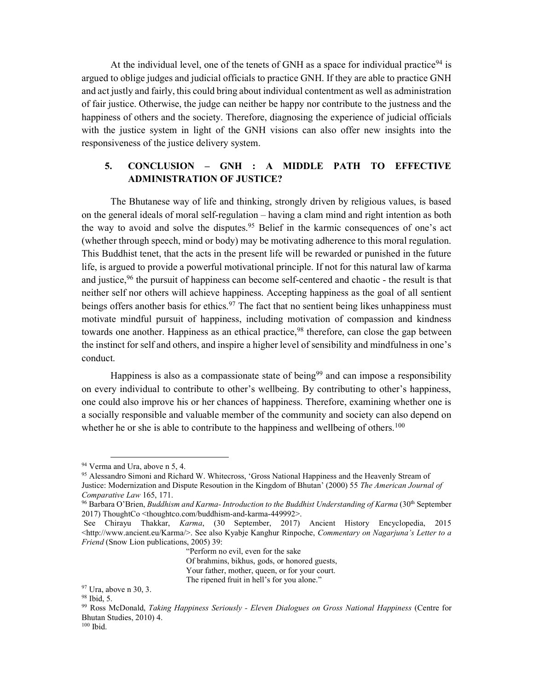At the individual level, one of the tenets of GNH as a space for individual practice<sup>94</sup> is argued to oblige judges and judicial officials to practice GNH. If they are able to practice GNH and act justly and fairly, this could bring about individual contentment as well as administration of fair justice. Otherwise, the judge can neither be happy nor contribute to the justness and the happiness of others and the society. Therefore, diagnosing the experience of judicial officials with the justice system in light of the GNH visions can also offer new insights into the responsiveness of the justice delivery system.

#### 5. CONCLUSION – GNH : A MIDDLE PATH TO EFFECTIVE ADMINISTRATION OF JUSTICE?

The Bhutanese way of life and thinking, strongly driven by religious values, is based on the general ideals of moral self-regulation – having a clam mind and right intention as both the way to avoid and solve the disputes.<sup>95</sup> Belief in the karmic consequences of one's act (whether through speech, mind or body) may be motivating adherence to this moral regulation. This Buddhist tenet, that the acts in the present life will be rewarded or punished in the future life, is argued to provide a powerful motivational principle. If not for this natural law of karma and justice,<sup>96</sup> the pursuit of happiness can become self-centered and chaotic - the result is that neither self nor others will achieve happiness. Accepting happiness as the goal of all sentient beings offers another basis for ethics.<sup>97</sup> The fact that no sentient being likes unhappiness must motivate mindful pursuit of happiness, including motivation of compassion and kindness towards one another. Happiness as an ethical practice,  $98$  therefore, can close the gap between the instinct for self and others, and inspire a higher level of sensibility and mindfulness in one's conduct.

Happiness is also as a compassionate state of being<sup>99</sup> and can impose a responsibility on every individual to contribute to other's wellbeing. By contributing to other's happiness, one could also improve his or her chances of happiness. Therefore, examining whether one is a socially responsible and valuable member of the community and society can also depend on whether he or she is able to contribute to the happiness and wellbeing of others.<sup>100</sup>

-

"Perform no evil, even for the sake Of brahmins, bikhus, gods, or honored guests, Your father, mother, queen, or for your court. The ripened fruit in hell's for you alone."

<sup>94</sup> Verma and Ura, above n 5, 4.

<sup>95</sup> Alessandro Simoni and Richard W. Whitecross, 'Gross National Happiness and the Heavenly Stream of Justice: Modernization and Dispute Resoution in the Kingdom of Bhutan' (2000) 55 The American Journal of Comparative Law 165, 171.

<sup>&</sup>lt;sup>96</sup> Barbara O'Brien, *Buddhism and Karma- Introduction to the Buddhist Understanding of Karma* (30<sup>th</sup> September 2017) ThoughtCo <thoughtco.com/buddhism-and-karma-449992>.

See Chirayu Thakkar, Karma, (30 September, 2017) Ancient History Encyclopedia, 2015 <http://www.ancient.eu/Karma/>. See also Kyabje Kanghur Rinpoche, Commentary on Nagarjuna's Letter to a Friend (Snow Lion publications, 2005) 39:

<sup>97</sup> Ura, above n 30, 3.

<sup>98</sup> Ibid, 5.

<sup>&</sup>lt;sup>99</sup> Ross McDonald, Taking Happiness Seriously - Eleven Dialogues on Gross National Happiness (Centre for Bhutan Studies, 2010) 4.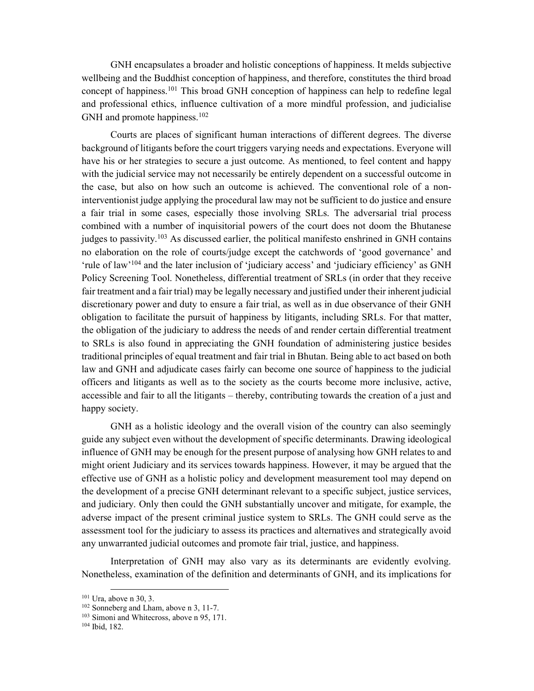GNH encapsulates a broader and holistic conceptions of happiness. It melds subjective wellbeing and the Buddhist conception of happiness, and therefore, constitutes the third broad concept of happiness.<sup>101</sup> This broad GNH conception of happiness can help to redefine legal and professional ethics, influence cultivation of a more mindful profession, and judicialise GNH and promote happiness.<sup>102</sup>

Courts are places of significant human interactions of different degrees. The diverse background of litigants before the court triggers varying needs and expectations. Everyone will have his or her strategies to secure a just outcome. As mentioned, to feel content and happy with the judicial service may not necessarily be entirely dependent on a successful outcome in the case, but also on how such an outcome is achieved. The conventional role of a noninterventionist judge applying the procedural law may not be sufficient to do justice and ensure a fair trial in some cases, especially those involving SRLs. The adversarial trial process combined with a number of inquisitorial powers of the court does not doom the Bhutanese judges to passivity.<sup>103</sup> As discussed earlier, the political manifesto enshrined in GNH contains no elaboration on the role of courts/judge except the catchwords of 'good governance' and 'rule of law'<sup>104</sup> and the later inclusion of 'judiciary access' and 'judiciary efficiency' as GNH Policy Screening Tool. Nonetheless, differential treatment of SRLs (in order that they receive fair treatment and a fair trial) may be legally necessary and justified under their inherent judicial discretionary power and duty to ensure a fair trial, as well as in due observance of their GNH obligation to facilitate the pursuit of happiness by litigants, including SRLs. For that matter, the obligation of the judiciary to address the needs of and render certain differential treatment to SRLs is also found in appreciating the GNH foundation of administering justice besides traditional principles of equal treatment and fair trial in Bhutan. Being able to act based on both law and GNH and adjudicate cases fairly can become one source of happiness to the judicial officers and litigants as well as to the society as the courts become more inclusive, active, accessible and fair to all the litigants – thereby, contributing towards the creation of a just and happy society.

GNH as a holistic ideology and the overall vision of the country can also seemingly guide any subject even without the development of specific determinants. Drawing ideological influence of GNH may be enough for the present purpose of analysing how GNH relates to and might orient Judiciary and its services towards happiness. However, it may be argued that the effective use of GNH as a holistic policy and development measurement tool may depend on the development of a precise GNH determinant relevant to a specific subject, justice services, and judiciary. Only then could the GNH substantially uncover and mitigate, for example, the adverse impact of the present criminal justice system to SRLs. The GNH could serve as the assessment tool for the judiciary to assess its practices and alternatives and strategically avoid any unwarranted judicial outcomes and promote fair trial, justice, and happiness.

Interpretation of GNH may also vary as its determinants are evidently evolving. Nonetheless, examination of the definition and determinants of GNH, and its implications for

 $\overline{a}$ <sup>101</sup> Ura, above n 30, 3.

<sup>102</sup> Sonneberg and Lham, above n 3, 11-7.

<sup>&</sup>lt;sup>103</sup> Simoni and Whitecross, above n 95, 171.

<sup>104</sup> Ibid, 182.